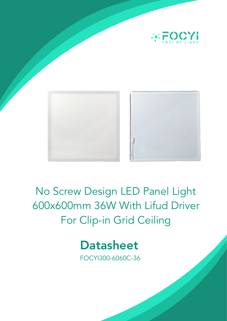

No Screw Design LED Panel Light 600x600mm 36W With Lifud Driver For Clip-in Grid Ceiling



FOCYI300-6060C-36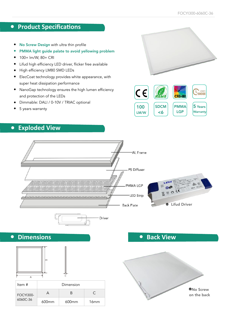#### **•** Product Specifications

- No Screw Design with ultra thin profile
- PMMA light guide palate to avoid yellowing problem
- 100+ lm/W, 80+ CRI
- Lifud high efficiency LED driver, flicker free available
- High efficiency LM80 SMD LEDs
- ElecCoat technology provides white appearance, with super heat dissipation performance
- NanoGap technology ensures the high lumen efficiency and protection of the LEDs
- Dimmable: DALI / 0-10V / TRIAC optional
- 5 years warranty

## **• Exploded View**



100 LM/W

 $|c \epsilon|$ 

**SDCM** <6

PMMA LGP

**CRI>80** 

5 Years **Warranty** 

**A** HOURS



**• Back View**



**• Dimensions**



| Item #                       | Dimension |          |                  |
|------------------------------|-----------|----------|------------------|
| <b>FOCYI300-</b><br>6060C-36 |           | R        | C                |
|                              | $600$ mm  | $600$ mm | 16 <sub>mm</sub> |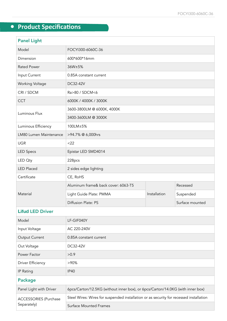# **•** Product Specifications

| <b>Panel Light</b>     |                                     |              |                 |  |
|------------------------|-------------------------------------|--------------|-----------------|--|
| Model                  | FOCYI300-6060C-36                   |              |                 |  |
| Dimension              | 600*600*16mm                        |              |                 |  |
| <b>Rated Power</b>     | 36W±5%                              |              |                 |  |
| Input Current          | 0.85A constant current              |              |                 |  |
| <b>Working Voltage</b> | DC32-42V                            |              |                 |  |
| CRI / SDCM             | Ra>80 / SDCM<6                      |              |                 |  |
| <b>CCT</b>             | 6000K / 4000K / 3000K               |              |                 |  |
| Luminous Flux          | 3600-3800LM @ 6000K, 4000K          |              |                 |  |
|                        | 3400-3600LM @ 3000K                 |              |                 |  |
| Luminous Efficiency    | 100LM±5%                            |              |                 |  |
| LM80 Lumen Maintenance | >94.7% @ 6,000hrs                   |              |                 |  |
| <b>UGR</b>             | $<$ 22                              |              |                 |  |
| <b>LED Specs</b>       | Epistar LED SMD4014                 |              |                 |  |
| LED Oty                | 228pcs                              |              |                 |  |
| <b>LED Placed</b>      | 2 sides edge lighting               |              |                 |  |
| Certificate            | CE, RoHS                            |              |                 |  |
| Material               | Aluminum frame& back cover: 6063-T5 |              | Recessed        |  |
|                        | Light Guide Plate: PMMA             | Installation | Suspended       |  |
|                        | Diffusion Plate: PS                 |              | Surface mounted |  |
|                        |                                     |              |                 |  |

#### **Lifud** LED Driver

| Model                                       | LF-GIF040Y                                                                             |  |  |  |
|---------------------------------------------|----------------------------------------------------------------------------------------|--|--|--|
| Input Voltage                               | AC 220-240V                                                                            |  |  |  |
| Output Current                              | 0.85A constant current                                                                 |  |  |  |
| Out Voltage                                 | DC32-42V                                                                               |  |  |  |
| Power Factor                                | >0.9                                                                                   |  |  |  |
| <b>Driver Efficiency</b>                    | $>90\%$                                                                                |  |  |  |
| IP Rating                                   | <b>IP40</b>                                                                            |  |  |  |
| <b>Package</b>                              |                                                                                        |  |  |  |
| Panel Light with Driver                     | 6pcs/Carton/12.5KG (without inner box), or 6pcs/Carton/14.0KG (with inner box)         |  |  |  |
| <b>ACCESSORIES (Purchase</b><br>Separately) | Steel Wires: Wires for suspended installation or as security for recessed installation |  |  |  |
|                                             | <b>Surface Mounted Frames</b>                                                          |  |  |  |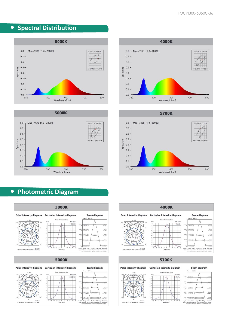## **•** Spectral Distribution









## **• Photometric Diagram**







#### 5700K

#### **Cartesian intensity diagram**









os<br>st<br>Height<br>Note: Angle: 114.16deg Earry,  $\frac{1}{2}$ 



 $\frac{\text{C6}+80}{\text{C9}+270}$ 

Planer III

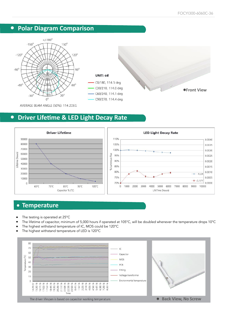#### **• Polar Diagram Comparison**





C90/270, 114.4 deg

**Front View**

AVERAGE BEAM ANGLE (50%): 114.2DEG

#### **•** Driver Lifetime & LED Light Decay Rate



#### **• Temperature**

- The testing is operated at 25°C
- The lifetime of capacitor, minimum of 5,000 hours if operated at 105°C, will be doubled whenever the temperature drops 10°C
- The highest withstand temperature of IC, MOS could be 120°C
- The highest withstand temperature of LED is 120°C

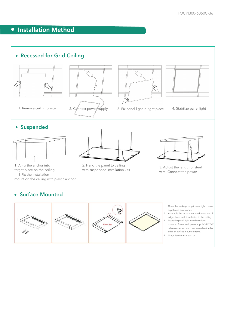## **•** Installation Method

#### • Recessed for Grid Ceiling





1. Remove ceiling plaster 2. Connect power supply 3. Fix panel light in right place 4. Stabilize panel light





#### • Suspended



1. A.Fix the anchor into target place on the ceiling B.Fix the installation mount on the ceiling with plastic anchor



2. Hang the panel to ceiling 2. Hang the panel to celling<br>with suspended installation kits 3. Adjust the length of steel



wire. Connect the power

#### • Surface Mounted

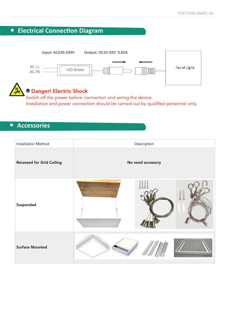



Switch off the power before connection and wiring the device. Installation and power connection should be carried out by qualified personnel only.

#### **• Accessories**

| Installation Method              | Description       |  |  |
|----------------------------------|-------------------|--|--|
| <b>Recessed for Grid Ceiling</b> | No need accessory |  |  |
| Suspended                        |                   |  |  |
| <b>Surface Mounted</b>           |                   |  |  |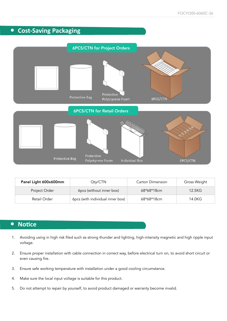#### **• Cost-Saving Packaging**



| Panel Light 600x600mm | Qty/CTN                          | <b>Carton Dimension</b> | Gross Weight |
|-----------------------|----------------------------------|-------------------------|--------------|
| Project Order         | 6pcs (without inner box)         | 68*68*18cm              | 12.5KG       |
| Retail Order          | 6pcs (with individual inner box) | 68*68*18cm              | 14.0KG       |

#### **•** Notice

- 1. Avoiding using in high risk filed such as strong thunder and lighting, high-intensity magnetic and high ripple input voltage.
- 2. Ensure proper installation with cable connection in correct way, before electrical turn on, to avoid short circuit or even causing fire.
- 3. Ensure safe working temperature with installation under a good cooling circumstance.
- 4. Make sure the local input voltage is suitable for this product.
- 5. Do not attempt to repair by yourself, to avoid product damaged or warranty become invalid.